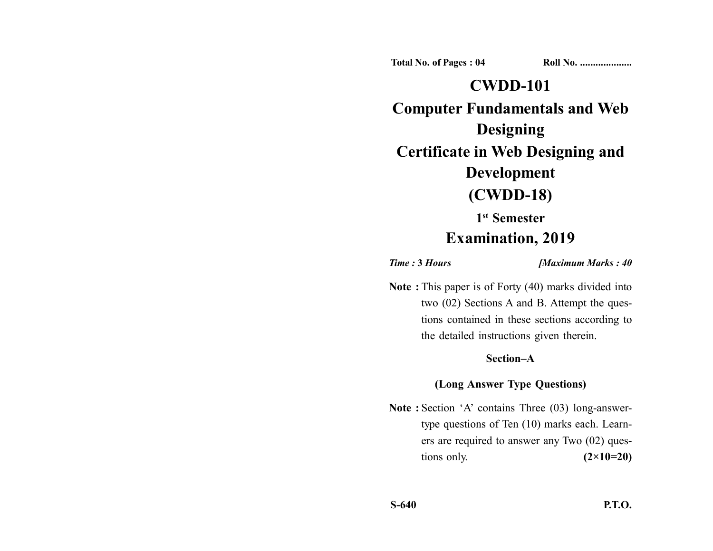**Total No. of Pages : 04 Roll No. ...................** 

## **CWDD-101**

**Computer Fundamentals and Web Designing Certificate in Web Designing and Development (CWDD-18)**

# **1st Semester**

## **Examination, 2019**

*Time :* **3** *Hours [Maximum Marks : 40*

**Note :** This paper is of Forty (40) marks divided into two (02) Sections A and B. Attempt the questions contained in these sections according to the detailed instructions given therein.

### **Section–A**

## **(Long Answer Type Questions)**

**Note :** Section 'A' contains Three (03) long-answertype questions of Ten (10) marks each. Learners are required to answer any Two (02) questions only. **(2×10=20)**